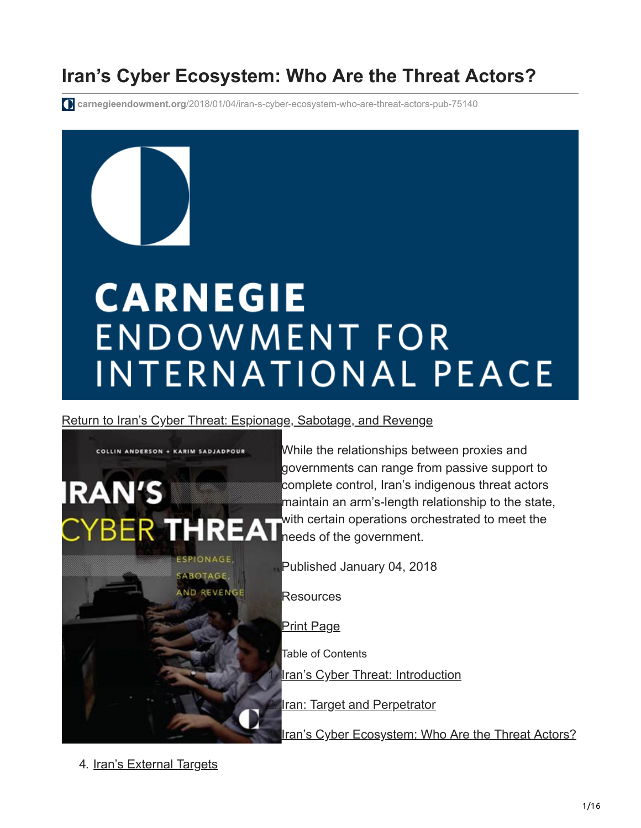# **Iran's Cyber Ecosystem: Who Are the Threat Actors?**

**carnegieendowment.org**[/2018/01/04/iran-s-cyber-ecosystem-who-are-threat-actors-pub-75140](https://carnegieendowment.org/2018/01/04/iran-s-cyber-ecosystem-who-are-threat-actors-pub-75140)

# **CARNEGIE ENDOWMENT FOR INTERNATIONAL PEACE**

[Return to Iran's Cyber Threat: Espionage, Sabotage, and Revenge](https://carnegieendowment.org/2018/01/04/iran-s-cyber-threat-espionage-sabotage-and-revenge-pub-75134)



While the relationships between proxies and governments can range from passive support to complete control, Iran's indigenous threat actors maintain an arm's-length relationship to the state, with certain operations orchestrated to meet the needs of the government.

Published January 04, 2018

Resources

Print Page

Table of Contents

[Iran's Cyber Threat: Introduction](https://carnegieendowment.org/2018/01/04/iran-s-cyber-threat-introduction-pub-75138)

**[Iran: Target and Perpetrator](https://carnegieendowment.org/2018/01/04/iran-target-and-perpetrator-pub-75139)** 

[Iran's Cyber Ecosystem: Who Are the Threat Actors?](https://carnegieendowment.org/2018/01/04/iran-s-cyber-ecosystem-who-are-threat-actors-pub-75140)

4. [Iran's External Targets](https://carnegieendowment.org/2018/01/04/iran-s-external-targets-pub-75141)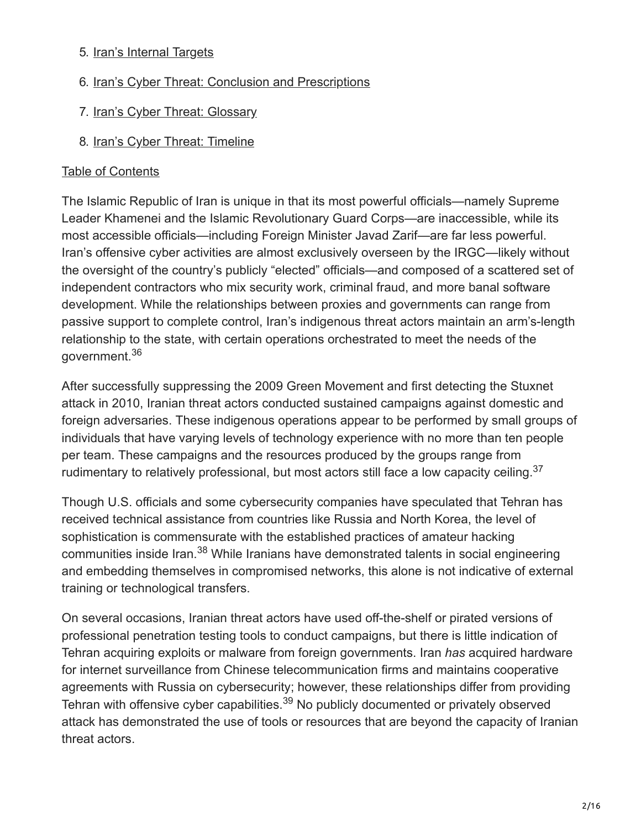#### 5. [Iran's Internal Targets](https://carnegieendowment.org/2018/01/04/iran-s-internal-targets-pub-75142)

- 6. [Iran's Cyber Threat: Conclusion and Prescriptions](https://carnegieendowment.org/2018/01/04/iran-s-cyber-threat-conclusion-and-prescriptions-pub-75143)
- 7. [Iran's Cyber Threat: Glossary](https://carnegieendowment.org/2018/01/04/iran-s-cyber-threat-glossary-pub-75144)
- 8. [Iran's Cyber Threat: Timeline](https://carnegieendowment.org/2018/01/04/iran-s-cyber-threat-timeline-pub-75145)

#### [Table of Contents](#page-15-0)

The Islamic Republic of Iran is unique in that its most powerful officials—namely Supreme Leader Khamenei and the Islamic Revolutionary Guard Corps—are inaccessible, while its most accessible officials—including Foreign Minister Javad Zarif—are far less powerful. Iran's offensive cyber activities are almost exclusively overseen by the IRGC—likely without the oversight of the country's publicly "elected" officials—and composed of a scattered set of independent contractors who mix security work, criminal fraud, and more banal software development. While the relationships between proxies and governments can range from passive support to complete control, Iran's indigenous threat actors maintain an arm's-length relationship to the state, with certain operations orchestrated to meet the needs of the government.<sup>36</sup>

After successfully suppressing the 2009 Green Movement and first detecting the Stuxnet attack in 2010, Iranian threat actors conducted sustained campaigns against domestic and foreign adversaries. These indigenous operations appear to be performed by small groups of individuals that have varying levels of technology experience with no more than ten people per team. These campaigns and the resources produced by the groups range from rudimentary to relatively professional, but most actors still face a low capacity ceiling.<sup>37</sup>

Though U.S. officials and some cybersecurity companies have speculated that Tehran has received technical assistance from countries like Russia and North Korea, the level of sophistication is commensurate with the established practices of amateur hacking communities inside Iran.<sup>38</sup> While Iranians have demonstrated talents in social engineering and embedding themselves in compromised networks, this alone is not indicative of external training or technological transfers.

On several occasions, Iranian threat actors have used off-the-shelf or pirated versions of professional penetration testing tools to conduct campaigns, but there is little indication of Tehran acquiring exploits or malware from foreign governments. Iran *has* acquired hardware for internet surveillance from Chinese telecommunication firms and maintains cooperative agreements with Russia on cybersecurity; however, these relationships differ from providing Tehran with offensive cyber capabilities.<sup>39</sup> No publicly documented or privately observed attack has demonstrated the use of tools or resources that are beyond the capacity of Iranian threat actors.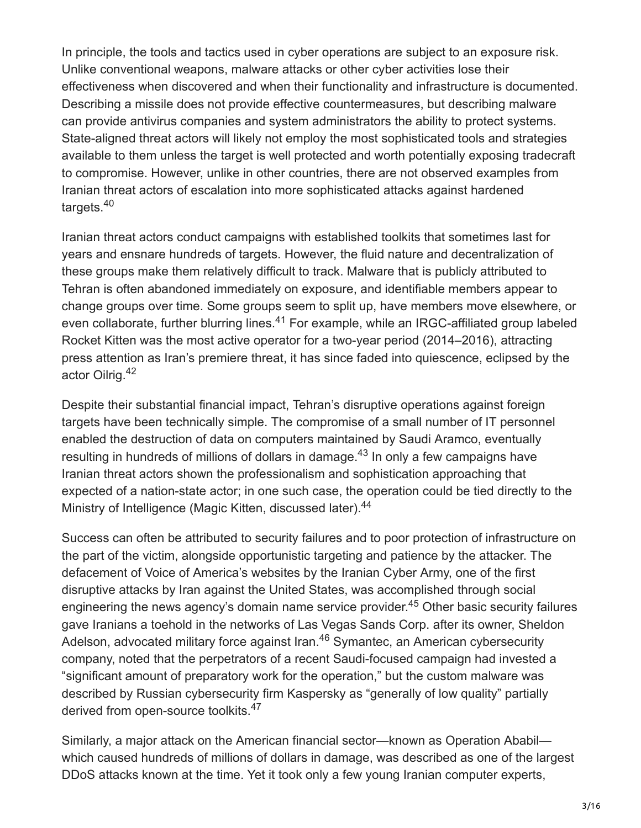In principle, the tools and tactics used in cyber operations are subject to an exposure risk. Unlike conventional weapons, malware attacks or other cyber activities lose their effectiveness when discovered and when their functionality and infrastructure is documented. Describing a missile does not provide effective countermeasures, but describing malware can provide antivirus companies and system administrators the ability to protect systems. State-aligned threat actors will likely not employ the most sophisticated tools and strategies available to them unless the target is well protected and worth potentially exposing tradecraft to compromise. However, unlike in other countries, there are not observed examples from Iranian threat actors of escalation into more sophisticated attacks against hardened targets.<sup>40</sup>

Iranian threat actors conduct campaigns with established toolkits that sometimes last for years and ensnare hundreds of targets. However, the fluid nature and decentralization of these groups make them relatively difficult to track. Malware that is publicly attributed to Tehran is often abandoned immediately on exposure, and identifiable members appear to change groups over time. Some groups seem to split up, have members move elsewhere, or even collaborate, further blurring lines.<sup>41</sup> For example, while an IRGC-affiliated group labeled Rocket Kitten was the most active operator for a two-year period (2014–2016), attracting press attention as Iran's premiere threat, it has since faded into quiescence, eclipsed by the actor Oilrig. 42

Despite their substantial financial impact, Tehran's disruptive operations against foreign targets have been technically simple. The compromise of a small number of IT personnel enabled the destruction of data on computers maintained by Saudi Aramco, eventually resulting in hundreds of millions of dollars in damage. $43$  In only a few campaigns have Iranian threat actors shown the professionalism and sophistication approaching that expected of a nation-state actor; in one such case, the operation could be tied directly to the Ministry of Intelligence (Magic Kitten, discussed later).<sup>44</sup>

Success can often be attributed to security failures and to poor protection of infrastructure on the part of the victim, alongside opportunistic targeting and patience by the attacker. The defacement of Voice of America's websites by the Iranian Cyber Army, one of the first disruptive attacks by Iran against the United States, was accomplished through social engineering the news agency's domain name service provider.<sup>45</sup> Other basic security failures gave Iranians a toehold in the networks of Las Vegas Sands Corp. after its owner, Sheldon Adelson, advocated military force against Iran.<sup>46</sup> Symantec, an American cybersecurity company, noted that the perpetrators of a recent Saudi-focused campaign had invested a "significant amount of preparatory work for the operation," but the custom malware was described by Russian cybersecurity firm Kaspersky as "generally of low quality" partially derived from open-source toolkits.<sup>47</sup>

Similarly, a major attack on the American financial sector—known as Operation Ababil which caused hundreds of millions of dollars in damage, was described as one of the largest DDoS attacks known at the time. Yet it took only a few young Iranian computer experts,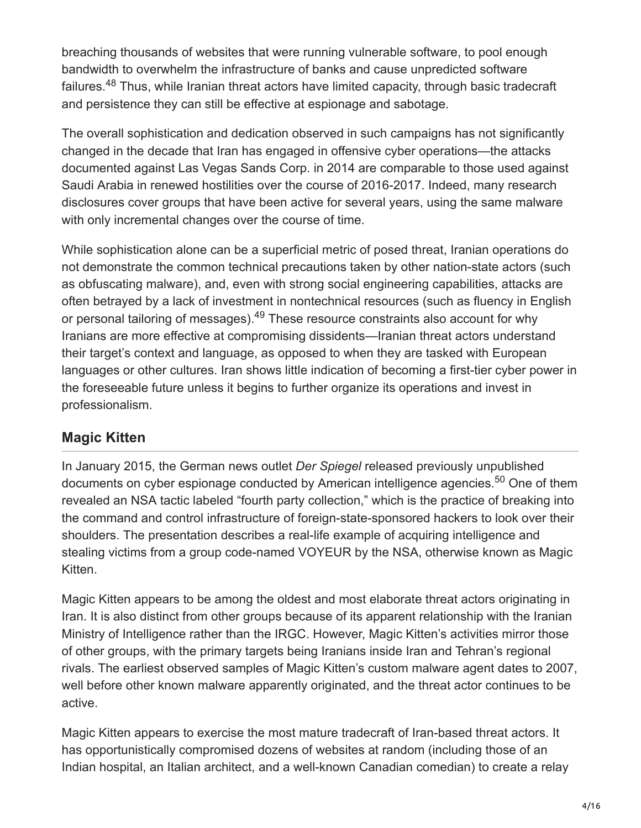breaching thousands of websites that were running vulnerable software, to pool enough bandwidth to overwhelm the infrastructure of banks and cause unpredicted software failures.<sup>48</sup> Thus, while Iranian threat actors have limited capacity, through basic tradecraft and persistence they can still be effective at espionage and sabotage.

The overall sophistication and dedication observed in such campaigns has not significantly changed in the decade that Iran has engaged in offensive cyber operations—the attacks documented against Las Vegas Sands Corp. in 2014 are comparable to those used against Saudi Arabia in renewed hostilities over the course of 2016-2017. Indeed, many research disclosures cover groups that have been active for several years, using the same malware with only incremental changes over the course of time.

While sophistication alone can be a superficial metric of posed threat, Iranian operations do not demonstrate the common technical precautions taken by other nation-state actors (such as obfuscating malware), and, even with strong social engineering capabilities, attacks are often betrayed by a lack of investment in nontechnical resources (such as fluency in English or personal tailoring of messages).<sup>49</sup> These resource constraints also account for why Iranians are more effective at compromising dissidents—Iranian threat actors understand their target's context and language, as opposed to when they are tasked with European languages or other cultures. Iran shows little indication of becoming a first-tier cyber power in the foreseeable future unless it begins to further organize its operations and invest in professionalism.

#### **Magic Kitten**

In January 2015, the German news outlet *Der Spiegel* released previously unpublished documents on cyber espionage conducted by American intelligence agencies.<sup>50</sup> One of them revealed an NSA tactic labeled "fourth party collection," which is the practice of breaking into the command and control infrastructure of foreign-state-sponsored hackers to look over their shoulders. The presentation describes a real-life example of acquiring intelligence and stealing victims from a group code-named VOYEUR by the NSA, otherwise known as Magic Kitten.

Magic Kitten appears to be among the oldest and most elaborate threat actors originating in Iran. It is also distinct from other groups because of its apparent relationship with the Iranian Ministry of Intelligence rather than the IRGC. However, Magic Kitten's activities mirror those of other groups, with the primary targets being Iranians inside Iran and Tehran's regional rivals. The earliest observed samples of Magic Kitten's custom malware agent dates to 2007, well before other known malware apparently originated, and the threat actor continues to be active.

Magic Kitten appears to exercise the most mature tradecraft of Iran-based threat actors. It has opportunistically compromised dozens of websites at random (including those of an Indian hospital, an Italian architect, and a well-known Canadian comedian) to create a relay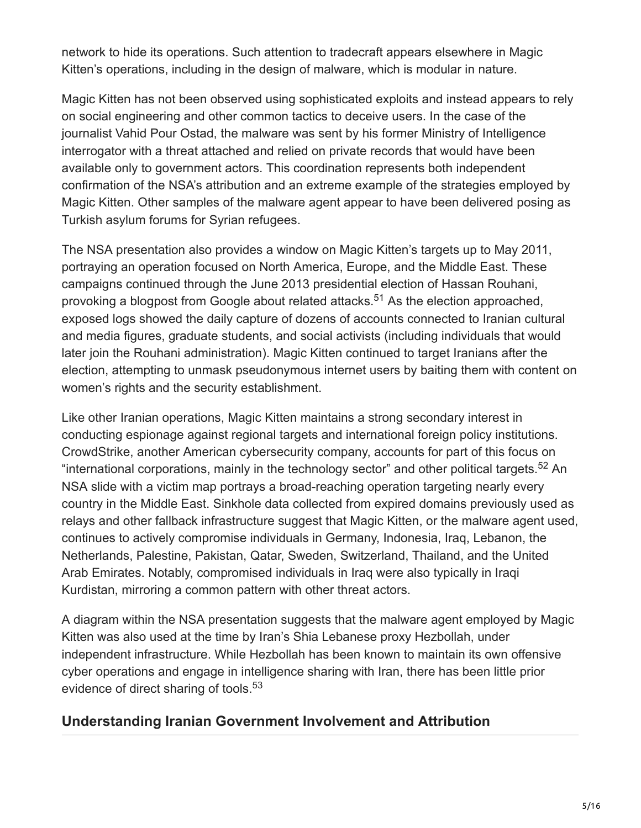network to hide its operations. Such attention to tradecraft appears elsewhere in Magic Kitten's operations, including in the design of malware, which is modular in nature.

Magic Kitten has not been observed using sophisticated exploits and instead appears to rely on social engineering and other common tactics to deceive users. In the case of the journalist Vahid Pour Ostad, the malware was sent by his former Ministry of Intelligence interrogator with a threat attached and relied on private records that would have been available only to government actors. This coordination represents both independent confirmation of the NSA's attribution and an extreme example of the strategies employed by Magic Kitten. Other samples of the malware agent appear to have been delivered posing as Turkish asylum forums for Syrian refugees.

The NSA presentation also provides a window on Magic Kitten's targets up to May 2011, portraying an operation focused on North America, Europe, and the Middle East. These campaigns continued through the June 2013 presidential election of Hassan Rouhani, provoking a blogpost from Google about related attacks.<sup>51</sup> As the election approached, exposed logs showed the daily capture of dozens of accounts connected to Iranian cultural and media figures, graduate students, and social activists (including individuals that would later join the Rouhani administration). Magic Kitten continued to target Iranians after the election, attempting to unmask pseudonymous internet users by baiting them with content on women's rights and the security establishment.

Like other Iranian operations, Magic Kitten maintains a strong secondary interest in conducting espionage against regional targets and international foreign policy institutions. CrowdStrike, another American cybersecurity company, accounts for part of this focus on "international corporations, mainly in the technology sector" and other political targets.<sup>52</sup> An NSA slide with a victim map portrays a broad-reaching operation targeting nearly every country in the Middle East. Sinkhole data collected from expired domains previously used as relays and other fallback infrastructure suggest that Magic Kitten, or the malware agent used, continues to actively compromise individuals in Germany, Indonesia, Iraq, Lebanon, the Netherlands, Palestine, Pakistan, Qatar, Sweden, Switzerland, Thailand, and the United Arab Emirates. Notably, compromised individuals in Iraq were also typically in Iraqi Kurdistan, mirroring a common pattern with other threat actors.

A diagram within the NSA presentation suggests that the malware agent employed by Magic Kitten was also used at the time by Iran's Shia Lebanese proxy Hezbollah, under independent infrastructure. While Hezbollah has been known to maintain its own offensive cyber operations and engage in intelligence sharing with Iran, there has been little prior evidence of direct sharing of tools.<sup>53</sup>

#### **Understanding Iranian Government Involvement and Attribution**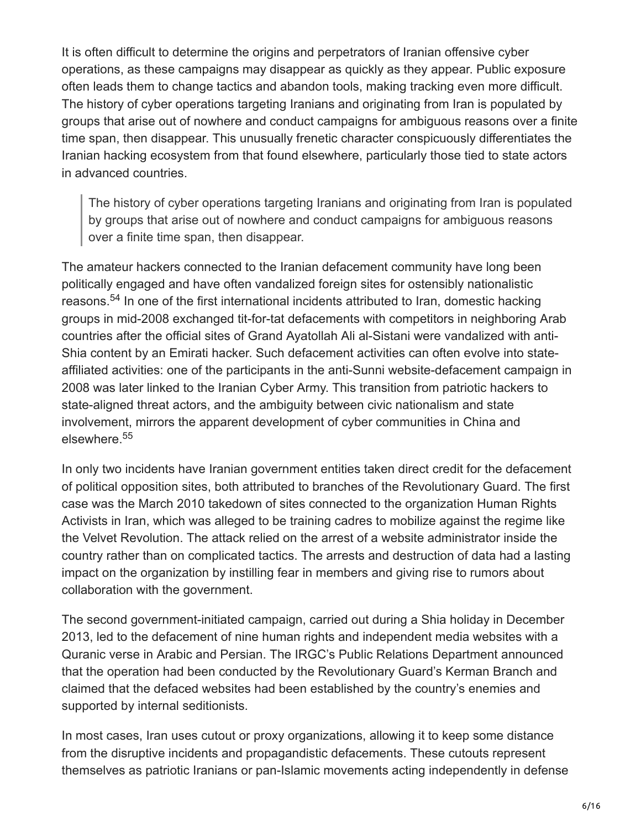It is often difficult to determine the origins and perpetrators of Iranian offensive cyber operations, as these campaigns may disappear as quickly as they appear. Public exposure often leads them to change tactics and abandon tools, making tracking even more difficult. The history of cyber operations targeting Iranians and originating from Iran is populated by groups that arise out of nowhere and conduct campaigns for ambiguous reasons over a finite time span, then disappear. This unusually frenetic character conspicuously differentiates the Iranian hacking ecosystem from that found elsewhere, particularly those tied to state actors in advanced countries.

The history of cyber operations targeting Iranians and originating from Iran is populated by groups that arise out of nowhere and conduct campaigns for ambiguous reasons over a finite time span, then disappear.

The amateur hackers connected to the Iranian defacement community have long been politically engaged and have often vandalized foreign sites for ostensibly nationalistic reasons.<sup>54</sup> In one of the first international incidents attributed to Iran, domestic hacking groups in mid-2008 exchanged tit-for-tat defacements with competitors in neighboring Arab countries after the official sites of Grand Ayatollah Ali al-Sistani were vandalized with anti-Shia content by an Emirati hacker. Such defacement activities can often evolve into stateaffiliated activities: one of the participants in the anti-Sunni website-defacement campaign in 2008 was later linked to the Iranian Cyber Army. This transition from patriotic hackers to state-aligned threat actors, and the ambiguity between civic nationalism and state involvement, mirrors the apparent development of cyber communities in China and elsewhere. 55

In only two incidents have Iranian government entities taken direct credit for the defacement of political opposition sites, both attributed to branches of the Revolutionary Guard. The first case was the March 2010 takedown of sites connected to the organization Human Rights Activists in Iran, which was alleged to be training cadres to mobilize against the regime like the Velvet Revolution. The attack relied on the arrest of a website administrator inside the country rather than on complicated tactics. The arrests and destruction of data had a lasting impact on the organization by instilling fear in members and giving rise to rumors about collaboration with the government.

The second government-initiated campaign, carried out during a Shia holiday in December 2013, led to the defacement of nine human rights and independent media websites with a Quranic verse in Arabic and Persian. The IRGC's Public Relations Department announced that the operation had been conducted by the Revolutionary Guard's Kerman Branch and claimed that the defaced websites had been established by the country's enemies and supported by internal seditionists.

In most cases, Iran uses cutout or proxy organizations, allowing it to keep some distance from the disruptive incidents and propagandistic defacements. These cutouts represent themselves as patriotic Iranians or pan-Islamic movements acting independently in defense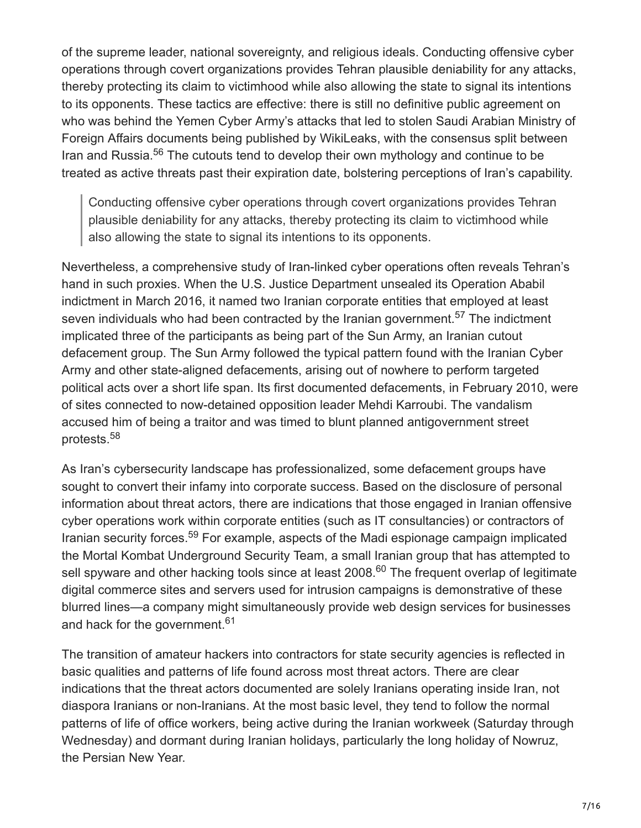of the supreme leader, national sovereignty, and religious ideals. Conducting offensive cyber operations through covert organizations provides Tehran plausible deniability for any attacks, thereby protecting its claim to victimhood while also allowing the state to signal its intentions to its opponents. These tactics are effective: there is still no definitive public agreement on who was behind the Yemen Cyber Army's attacks that led to stolen Saudi Arabian Ministry of Foreign Affairs documents being published by WikiLeaks, with the consensus split between Iran and Russia.<sup>56</sup> The cutouts tend to develop their own mythology and continue to be treated as active threats past their expiration date, bolstering perceptions of Iran's capability.

Conducting offensive cyber operations through covert organizations provides Tehran plausible deniability for any attacks, thereby protecting its claim to victimhood while also allowing the state to signal its intentions to its opponents.

Nevertheless, a comprehensive study of Iran-linked cyber operations often reveals Tehran's hand in such proxies. When the U.S. Justice Department unsealed its Operation Ababil indictment in March 2016, it named two Iranian corporate entities that employed at least seven individuals who had been contracted by the Iranian government.<sup>57</sup> The indictment implicated three of the participants as being part of the Sun Army, an Iranian cutout defacement group. The Sun Army followed the typical pattern found with the Iranian Cyber Army and other state-aligned defacements, arising out of nowhere to perform targeted political acts over a short life span. Its first documented defacements, in February 2010, were of sites connected to now-detained opposition leader Mehdi Karroubi. The vandalism accused him of being a traitor and was timed to blunt planned antigovernment street protests. 58

As Iran's cybersecurity landscape has professionalized, some defacement groups have sought to convert their infamy into corporate success. Based on the disclosure of personal information about threat actors, there are indications that those engaged in Iranian offensive cyber operations work within corporate entities (such as IT consultancies) or contractors of Iranian security forces.<sup>59</sup> For example, aspects of the Madi espionage campaign implicated the Mortal Kombat Underground Security Team, a small Iranian group that has attempted to sell spyware and other hacking tools since at least 2008.<sup>60</sup> The frequent overlap of legitimate digital commerce sites and servers used for intrusion campaigns is demonstrative of these blurred lines—a company might simultaneously provide web design services for businesses and hack for the government.<sup>61</sup>

The transition of amateur hackers into contractors for state security agencies is reflected in basic qualities and patterns of life found across most threat actors. There are clear indications that the threat actors documented are solely Iranians operating inside Iran, not diaspora Iranians or non-Iranians. At the most basic level, they tend to follow the normal patterns of life of office workers, being active during the Iranian workweek (Saturday through Wednesday) and dormant during Iranian holidays, particularly the long holiday of Nowruz, the Persian New Year.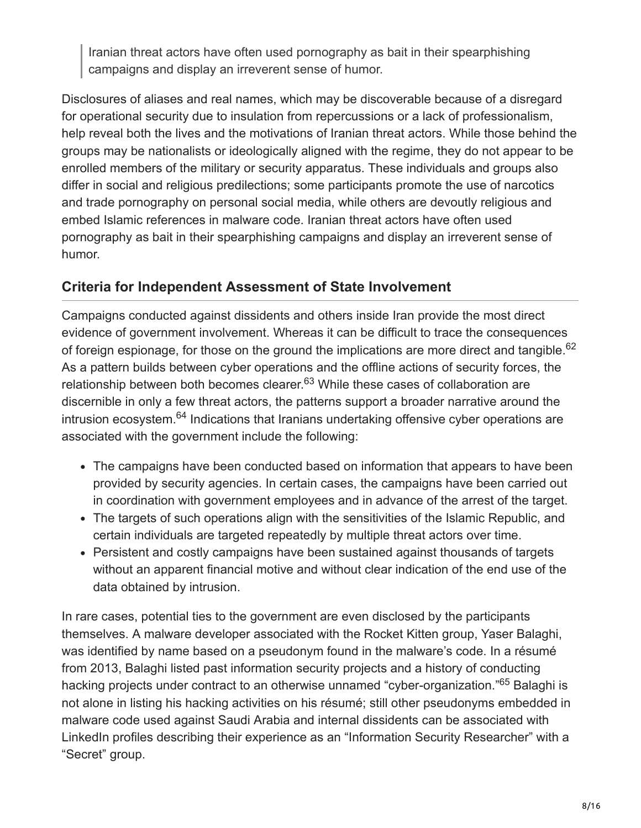Iranian threat actors have often used pornography as bait in their spearphishing campaigns and display an irreverent sense of humor.

Disclosures of aliases and real names, which may be discoverable because of a disregard for operational security due to insulation from repercussions or a lack of professionalism, help reveal both the lives and the motivations of Iranian threat actors. While those behind the groups may be nationalists or ideologically aligned with the regime, they do not appear to be enrolled members of the military or security apparatus. These individuals and groups also differ in social and religious predilections; some participants promote the use of narcotics and trade pornography on personal social media, while others are devoutly religious and embed Islamic references in malware code. Iranian threat actors have often used pornography as bait in their spearphishing campaigns and display an irreverent sense of humor.

#### **Criteria for Independent Assessment of State Involvement**

Campaigns conducted against dissidents and others inside Iran provide the most direct evidence of government involvement. Whereas it can be difficult to trace the consequences of foreign espionage, for those on the ground the implications are more direct and tangible.<sup>62</sup> As a pattern builds between cyber operations and the offline actions of security forces, the relationship between both becomes clearer.<sup>63</sup> While these cases of collaboration are discernible in only a few threat actors, the patterns support a broader narrative around the intrusion ecosystem.<sup>64</sup> Indications that Iranians undertaking offensive cyber operations are associated with the government include the following:

- The campaigns have been conducted based on information that appears to have been provided by security agencies. In certain cases, the campaigns have been carried out in coordination with government employees and in advance of the arrest of the target.
- The targets of such operations align with the sensitivities of the Islamic Republic, and certain individuals are targeted repeatedly by multiple threat actors over time.
- Persistent and costly campaigns have been sustained against thousands of targets without an apparent financial motive and without clear indication of the end use of the data obtained by intrusion.

In rare cases, potential ties to the government are even disclosed by the participants themselves. A malware developer associated with the Rocket Kitten group, Yaser Balaghi, was identified by name based on a pseudonym found in the malware's code. In a résumé from 2013, Balaghi listed past information security projects and a history of conducting hacking projects under contract to an otherwise unnamed "cyber-organization."<sup>65</sup> Balaghi is not alone in listing his hacking activities on his résumé; still other pseudonyms embedded in malware code used against Saudi Arabia and internal dissidents can be associated with LinkedIn profiles describing their experience as an "Information Security Researcher" with a "Secret" group.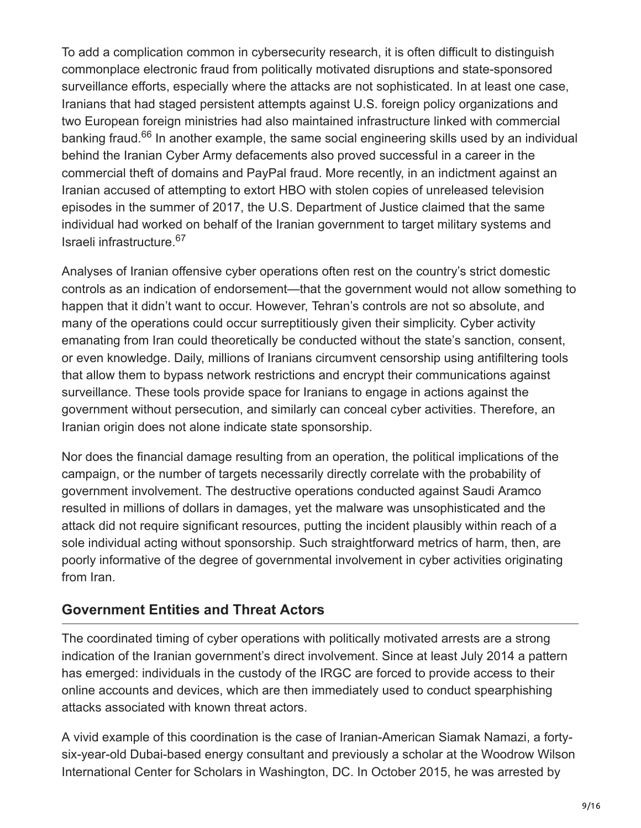To add a complication common in cybersecurity research, it is often difficult to distinguish commonplace electronic fraud from politically motivated disruptions and state-sponsored surveillance efforts, especially where the attacks are not sophisticated. In at least one case, Iranians that had staged persistent attempts against U.S. foreign policy organizations and two European foreign ministries had also maintained infrastructure linked with commercial banking fraud.<sup>66</sup> In another example, the same social engineering skills used by an individual behind the Iranian Cyber Army defacements also proved successful in a career in the commercial theft of domains and PayPal fraud. More recently, in an indictment against an Iranian accused of attempting to extort HBO with stolen copies of unreleased television episodes in the summer of 2017, the U.S. Department of Justice claimed that the same individual had worked on behalf of the Iranian government to target military systems and Israeli infrastructure. 67

Analyses of Iranian offensive cyber operations often rest on the country's strict domestic controls as an indication of endorsement—that the government would not allow something to happen that it didn't want to occur. However, Tehran's controls are not so absolute, and many of the operations could occur surreptitiously given their simplicity. Cyber activity emanating from Iran could theoretically be conducted without the state's sanction, consent, or even knowledge. Daily, millions of Iranians circumvent censorship using antifiltering tools that allow them to bypass network restrictions and encrypt their communications against surveillance. These tools provide space for Iranians to engage in actions against the government without persecution, and similarly can conceal cyber activities. Therefore, an Iranian origin does not alone indicate state sponsorship.

Nor does the financial damage resulting from an operation, the political implications of the campaign, or the number of targets necessarily directly correlate with the probability of government involvement. The destructive operations conducted against Saudi Aramco resulted in millions of dollars in damages, yet the malware was unsophisticated and the attack did not require significant resources, putting the incident plausibly within reach of a sole individual acting without sponsorship. Such straightforward metrics of harm, then, are poorly informative of the degree of governmental involvement in cyber activities originating from Iran.

#### **Government Entities and Threat Actors**

The coordinated timing of cyber operations with politically motivated arrests are a strong indication of the Iranian government's direct involvement. Since at least July 2014 a pattern has emerged: individuals in the custody of the IRGC are forced to provide access to their online accounts and devices, which are then immediately used to conduct spearphishing attacks associated with known threat actors.

A vivid example of this coordination is the case of Iranian-American Siamak Namazi, a fortysix-year-old Dubai-based energy consultant and previously a scholar at the Woodrow Wilson International Center for Scholars in Washington, DC. In October 2015, he was arrested by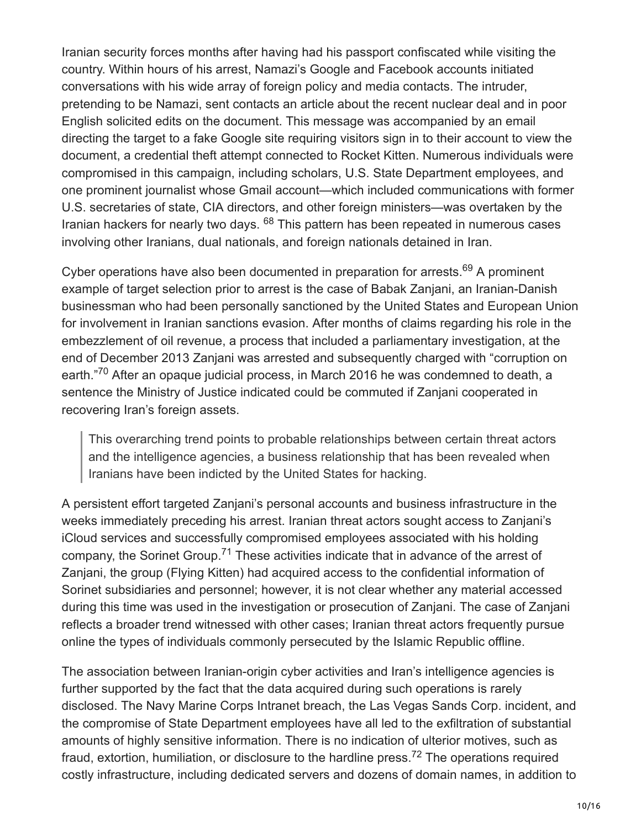Iranian security forces months after having had his passport confiscated while visiting the country. Within hours of his arrest, Namazi's Google and Facebook accounts initiated conversations with his wide array of foreign policy and media contacts. The intruder, pretending to be Namazi, sent contacts an article about the recent nuclear deal and in poor English solicited edits on the document. This message was accompanied by an email directing the target to a fake Google site requiring visitors sign in to their account to view the document, a credential theft attempt connected to Rocket Kitten. Numerous individuals were compromised in this campaign, including scholars, U.S. State Department employees, and one prominent journalist whose Gmail account—which included communications with former U.S. secretaries of state, CIA directors, and other foreign ministers—was overtaken by the Iranian hackers for nearly two days. <sup>68</sup> This pattern has been repeated in numerous cases involving other Iranians, dual nationals, and foreign nationals detained in Iran.

Cyber operations have also been documented in preparation for arrests.<sup>69</sup> A prominent example of target selection prior to arrest is the case of Babak Zanjani, an Iranian-Danish businessman who had been personally sanctioned by the United States and European Union for involvement in Iranian sanctions evasion. After months of claims regarding his role in the embezzlement of oil revenue, a process that included a parliamentary investigation, at the end of December 2013 Zanjani was arrested and subsequently charged with "corruption on earth."<sup>70</sup> After an opaque judicial process, in March 2016 he was condemned to death, a sentence the Ministry of Justice indicated could be commuted if Zanjani cooperated in recovering Iran's foreign assets.

This overarching trend points to probable relationships between certain threat actors and the intelligence agencies, a business relationship that has been revealed when Iranians have been indicted by the United States for hacking.

A persistent effort targeted Zanjani's personal accounts and business infrastructure in the weeks immediately preceding his arrest. Iranian threat actors sought access to Zanjani's iCloud services and successfully compromised employees associated with his holding company, the Sorinet Group.<sup>71</sup> These activities indicate that in advance of the arrest of Zanjani, the group (Flying Kitten) had acquired access to the confidential information of Sorinet subsidiaries and personnel; however, it is not clear whether any material accessed during this time was used in the investigation or prosecution of Zanjani. The case of Zanjani reflects a broader trend witnessed with other cases; Iranian threat actors frequently pursue online the types of individuals commonly persecuted by the Islamic Republic offline.

The association between Iranian-origin cyber activities and Iran's intelligence agencies is further supported by the fact that the data acquired during such operations is rarely disclosed. The Navy Marine Corps Intranet breach, the Las Vegas Sands Corp. incident, and the compromise of State Department employees have all led to the exfiltration of substantial amounts of highly sensitive information. There is no indication of ulterior motives, such as fraud, extortion, humiliation, or disclosure to the hardline press.<sup>72</sup> The operations required costly infrastructure, including dedicated servers and dozens of domain names, in addition to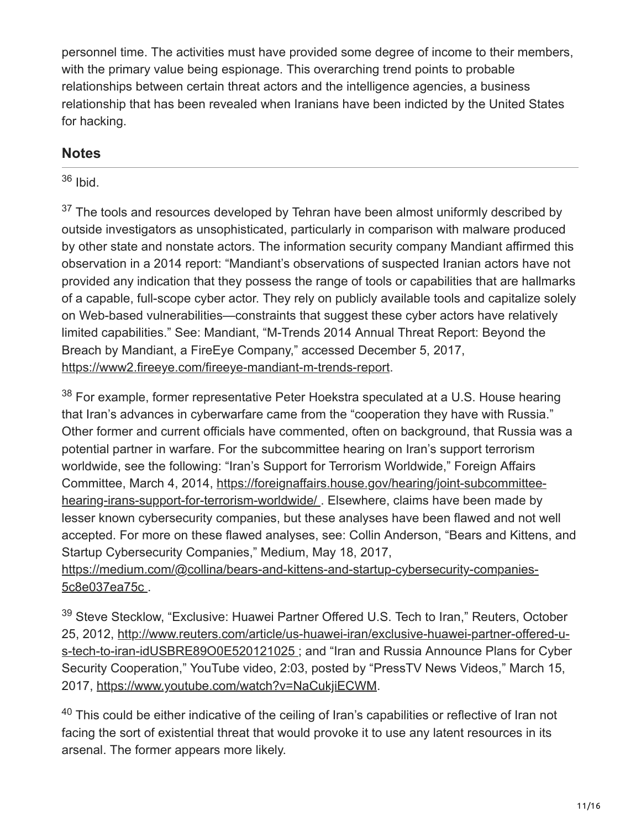personnel time. The activities must have provided some degree of income to their members, with the primary value being espionage. This overarching trend points to probable relationships between certain threat actors and the intelligence agencies, a business relationship that has been revealed when Iranians have been indicted by the United States for hacking.

## **Notes**

### <sup>36</sup> Ibid.

 $37$  The tools and resources developed by Tehran have been almost uniformly described by outside investigators as unsophisticated, particularly in comparison with malware produced by other state and nonstate actors. The information security company Mandiant affirmed this observation in a 2014 report: "Mandiant's observations of suspected Iranian actors have not provided any indication that they possess the range of tools or capabilities that are hallmarks of a capable, full-scope cyber actor. They rely on publicly available tools and capitalize solely on Web-based vulnerabilities—constraints that suggest these cyber actors have relatively limited capabilities." See: Mandiant, "M-Trends 2014 Annual Threat Report: Beyond the Breach by Mandiant, a FireEye Company," accessed December 5, 2017, [https://www2.fireeye.com/fireeye-mandiant-m-trends-report.](https://www2.fireeye.com/fireeye-mandiant-m-trends-report)

 $38$  For example, former representative Peter Hoekstra speculated at a U.S. House hearing that Iran's advances in cyberwarfare came from the "cooperation they have with Russia." Other former and current officials have commented, often on background, that Russia was a potential partner in warfare. For the subcommittee hearing on Iran's support terrorism worldwide, see the following: "Iran's Support for Terrorism Worldwide," Foreign Affairs [Committee, March 4, 2014, https://foreignaffairs.house.gov/hearing/joint-subcommittee](https://foreignaffairs.house.gov/hearing/joint-subcommittee-hearing-irans-support-for-terrorism-worldwide/)hearing-irans-support-for-terrorism-worldwide/ . Elsewhere, claims have been made by lesser known cybersecurity companies, but these analyses have been flawed and not well accepted. For more on these flawed analyses, see: Collin Anderson, "Bears and Kittens, and Startup Cybersecurity Companies," Medium, May 18, 2017, [https://medium.com/@collina/bears-and-kittens-and-startup-cybersecurity-companies-](https://medium.com/@collina/bears-and-kittens-and-startup-cybersecurity-companies-5c8e037ea75c)5c8e037ea75c .

<sup>39</sup> Steve Stecklow, "Exclusive: Huawei Partner Offered U.S. Tech to Iran," Reuters, October [25, 2012, http://www.reuters.com/article/us-huawei-iran/exclusive-huawei-partner-offered-u](http://www.reuters.com/article/us-huawei-iran/exclusive-huawei-partner-offered-u-s-tech-to-iran-idUSBRE89O0E520121025)s-tech-to-iran-idUSBRE89O0E520121025 ; and "Iran and Russia Announce Plans for Cyber Security Cooperation," YouTube video, 2:03, posted by "PressTV News Videos," March 15, 2017,<https://www.youtube.com/watch?v=NaCukjiECWM>.

 $40$  This could be either indicative of the ceiling of Iran's capabilities or reflective of Iran not facing the sort of existential threat that would provoke it to use any latent resources in its arsenal. The former appears more likely.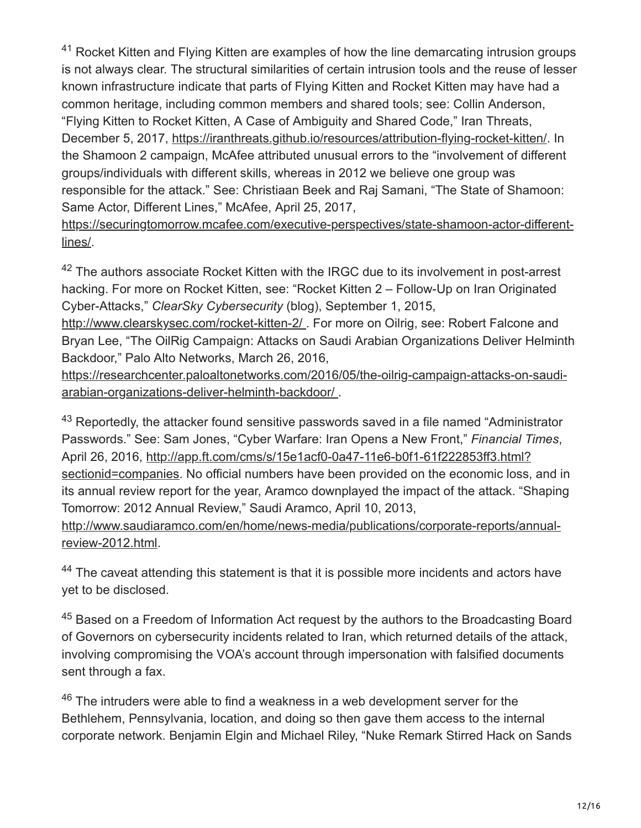$41$  Rocket Kitten and Flying Kitten are examples of how the line demarcating intrusion groups is not always clear. The structural similarities of certain intrusion tools and the reuse of lesser known infrastructure indicate that parts of Flying Kitten and Rocket Kitten may have had a common heritage, including common members and shared tools; see: Collin Anderson, "Flying Kitten to Rocket Kitten, A Case of Ambiguity and Shared Code," Iran Threats, December 5, 2017, [https://iranthreats.github.io/resources/attribution-flying-rocket-kitten/.](https://iranthreats.github.io/resources/attribution-flying-rocket-kitten/) In the Shamoon 2 campaign, McAfee attributed unusual errors to the "involvement of different groups/individuals with different skills, whereas in 2012 we believe one group was responsible for the attack." See: Christiaan Beek and Raj Samani, "The State of Shamoon: Same Actor, Different Lines," McAfee, April 25, 2017,

[https://securingtomorrow.mcafee.com/executive-perspectives/state-shamoon-actor-different](https://securingtomorrow.mcafee.com/executive-perspectives/state-shamoon-actor-different-lines/)lines/.

 $42$  The authors associate Rocket Kitten with the IRGC due to its involvement in post-arrest hacking. For more on Rocket Kitten, see: "Rocket Kitten 2 – Follow-Up on Iran Originated Cyber-Attacks," *ClearSky Cybersecurity* (blog), September 1, 2015,

<http://www.clearskysec.com/rocket-kitten-2/>. For more on Oilrig, see: Robert Falcone and Bryan Lee, "The OilRig Campaign: Attacks on Saudi Arabian Organizations Deliver Helminth Backdoor," Palo Alto Networks, March 26, 2016,

[https://researchcenter.paloaltonetworks.com/2016/05/the-oilrig-campaign-attacks-on-saudi](https://researchcenter.paloaltonetworks.com/2016/05/the-oilrig-campaign-attacks-on-saudi-arabian-organizations-deliver-helminth-backdoor/)arabian-organizations-deliver-helminth-backdoor/ .

 $43$  Reportedly, the attacker found sensitive passwords saved in a file named "Administrator Passwords." See: Sam Jones, "Cyber Warfare: Iran Opens a New Front," *Financial Times*, April 26, 2016, http://app.ft.com/cms/s/15e1acf0-0a47-11e6-b0f1-61f222853ff3.html? [sectionid=companies. No official numbers have been provided on the economic loss,](http://app.ft.com/cms/s/15e1acf0-0a47-11e6-b0f1-61f222853ff3.html?sectionid=companies) and in its annual review report for the year, Aramco downplayed the impact of the attack. "Shaping Tomorrow: 2012 Annual Review," Saudi Aramco, April 10, 2013, [http://www.saudiaramco.com/en/home/news-media/publications/corporate-reports/annual-](http://www.saudiaramco.com/en/home/news-media/publications/corporate-reports/annual-review-2012.html)

 $44$  The caveat attending this statement is that it is possible more incidents and actors have yet to be disclosed.

review-2012.html.

 $45$  Based on a Freedom of Information Act request by the authors to the Broadcasting Board of Governors on cybersecurity incidents related to Iran, which returned details of the attack, involving compromising the VOA's account through impersonation with falsified documents sent through a fax.

 $46$  The intruders were able to find a weakness in a web development server for the Bethlehem, Pennsylvania, location, and doing so then gave them access to the internal corporate network. Benjamin Elgin and Michael Riley, "Nuke Remark Stirred Hack on Sands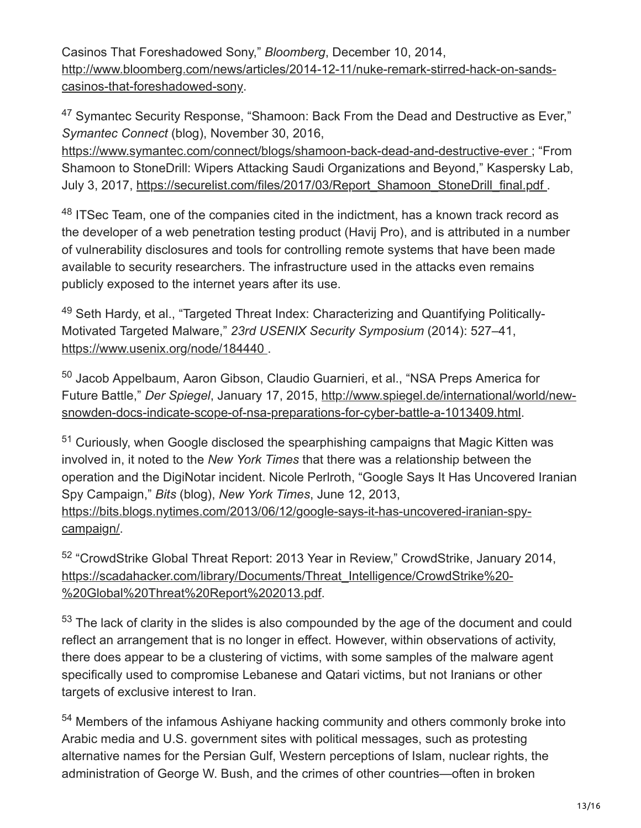Casinos That Foreshadowed Sony," *Bloomberg*, December 10, 2014, [http://www.bloomberg.com/news/articles/2014-12-11/nuke-remark-stirred-hack-on-sands](http://www.bloomberg.com/news/articles/2014-12-11/nuke-remark-stirred-hack-on-sands-casinos-that-foreshadowed-sony)casinos-that-foreshadowed-sony.

 $47$  Symantec Security Response, "Shamoon: Back From the Dead and Destructive as Ever," *Symantec Connect* (blog), November 30, 2016,

[https://www.symantec.com/connect/blogs/shamoon-back-dead-and-destructive-ever ;](https://www.symantec.com/connect/blogs/shamoon-back-dead-and-destructive-ever) "From Shamoon to StoneDrill: Wipers Attacking Saudi Organizations and Beyond," Kaspersky Lab, July 3, 2017, [https://securelist.com/files/2017/03/Report\\_Shamoon\\_StoneDrill\\_final.pdf .](https://securelist.com/files/2017/03/Report_Shamoon_StoneDrill_final.pdf)

 $48$  ITSec Team, one of the companies cited in the indictment, has a known track record as the developer of a web penetration testing product (Havij Pro), and is attributed in a number of vulnerability disclosures and tools for controlling remote systems that have been made available to security researchers. The infrastructure used in the attacks even remains publicly exposed to the internet years after its use.

<sup>49</sup> Seth Hardy, et al., "Targeted Threat Index: Characterizing and Quantifying Politically-Motivated Targeted Malware," *23rd USENIX Security Symposium* (2014): 527–41, [https://www.usenix.org/node/184440 .](https://www.usenix.org/node/184440)

<sup>50</sup> Jacob Appelbaum, Aaron Gibson, Claudio Guarnieri, et al., "NSA Preps America for Future Battle," *Der Spiegel*, January 17, 2015, http://www.spiegel.de/international/world/new[snowden-docs-indicate-scope-of-nsa-preparations-for-cyber-battle-a-1013409.html.](http://www.spiegel.de/international/world/new-snowden-docs-indicate-scope-of-nsa-preparations-for-cyber-battle-a-1013409.html)

 $51$  Curiously, when Google disclosed the spearphishing campaigns that Magic Kitten was involved in, it noted to the *New York Times* that there was a relationship between the operation and the DigiNotar incident. Nicole Perlroth, "Google Says It Has Uncovered Iranian Spy Campaign," *Bits* (blog), *New York Times*, June 12, 2013, [https://bits.blogs.nytimes.com/2013/06/12/google-says-it-has-uncovered-iranian-spy](https://bits.blogs.nytimes.com/2013/06/12/google-says-it-has-uncovered-iranian-spy-campaign/)campaign/.

<sup>52</sup> "CrowdStrike Global Threat Report: 2013 Year in Review," CrowdStrike, January 2014, [https://scadahacker.com/library/Documents/Threat\\_Intelligence/CrowdStrike%20-](https://scadahacker.com/library/Documents/Threat_Intelligence/CrowdStrike%20-%20Global%20Threat%20Report%202013.pdf) %20Global%20Threat%20Report%202013.pdf.

 $53$  The lack of clarity in the slides is also compounded by the age of the document and could reflect an arrangement that is no longer in effect. However, within observations of activity, there does appear to be a clustering of victims, with some samples of the malware agent specifically used to compromise Lebanese and Qatari victims, but not Iranians or other targets of exclusive interest to Iran.

<sup>54</sup> Members of the infamous Ashiyane hacking community and others commonly broke into Arabic media and U.S. government sites with political messages, such as protesting alternative names for the Persian Gulf, Western perceptions of Islam, nuclear rights, the administration of George W. Bush, and the crimes of other countries—often in broken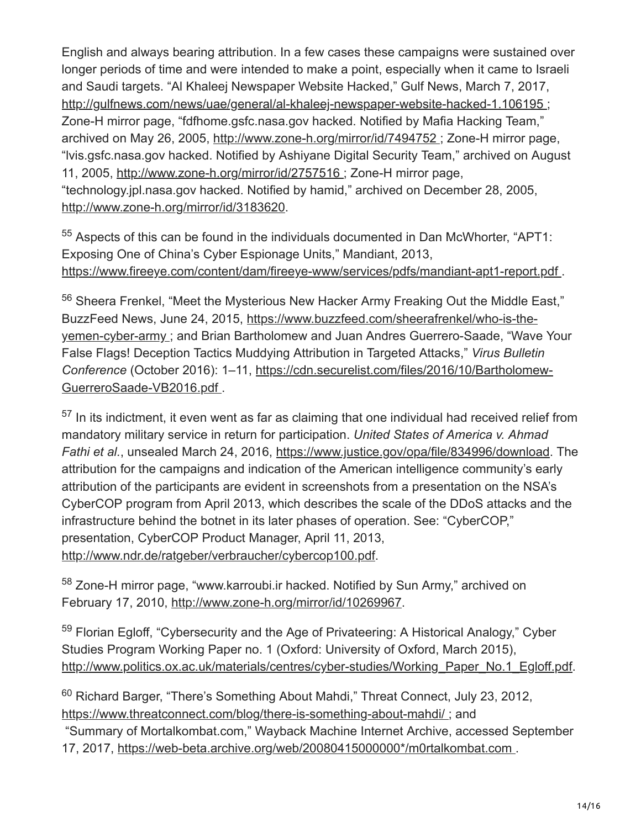English and always bearing attribution. In a few cases these campaigns were sustained over longer periods of time and were intended to make a point, especially when it came to Israeli and Saudi targets. "Al Khaleej Newspaper Website Hacked," Gulf News, March 7, 2017, [http://gulfnews.com/news/uae/general/al-khaleej-newspaper-website-hacked-1.106195 ;](http://gulfnews.com/news/uae/general/al-khaleej-newspaper-website-hacked-1.106195) Zone-H mirror page, "fdfhome.gsfc.nasa.gov hacked. Notified by Mafia Hacking Team," archived on May 26, 2005, [http://www.zone-h.org/mirror/id/7494752 ;](http://www.zone-h.org/mirror/id/7494752) Zone-H mirror page, "lvis.gsfc.nasa.gov hacked. Notified by Ashiyane Digital Security Team," archived on August 11, 2005, <http://www.zone-h.org/mirror/id/2757516>; Zone-H mirror page, "technology.jpl.nasa.gov hacked. Notified by hamid," archived on December 28, 2005, <http://www.zone-h.org/mirror/id/3183620>.

 $55$  Aspects of this can be found in the individuals documented in Dan McWhorter, "APT1: Exposing One of China's Cyber Espionage Units," Mandiant, 2013, <https://www.fireeye.com/content/dam/fireeye-www/services/pdfs/mandiant-apt1-report.pdf>.

<sup>56</sup> Sheera Frenkel, "Meet the Mysterious New Hacker Army Freaking Out the Middle East," BuzzFeed News, June 24, 2015, https://www.buzzfeed.com/sheerafrenkel/who-is-the[yemen-cyber-army ; and Brian Bartholomew and Juan Andres Guerrero-Saade, "Wave](https://www.buzzfeed.com/sheerafrenkel/who-is-the-yemen-cyber-army) Your False Flags! Deception Tactics Muddying Attribution in Targeted Attacks," *Virus Bulletin Conference* [\(October 2016\): 1–11, https://cdn.securelist.com/files/2016/10/Bartholomew-](https://cdn.securelist.com/files/2016/10/Bartholomew-GuerreroSaade-VB2016.pdf)GuerreroSaade-VB2016.pdf .

 $57$  In its indictment, it even went as far as claiming that one individual had received relief from mandatory military service in return for participation. *United States of America v. Ahmad Fathi et al.*, unsealed March 24, 2016, <https://www.justice.gov/opa/file/834996/download>. The attribution for the campaigns and indication of the American intelligence community's early attribution of the participants are evident in screenshots from a presentation on the NSA's CyberCOP program from April 2013, which describes the scale of the DDoS attacks and the infrastructure behind the botnet in its later phases of operation. See: "CyberCOP," presentation, CyberCOP Product Manager, April 11, 2013, <http://www.ndr.de/ratgeber/verbraucher/cybercop100.pdf>.

<sup>58</sup> Zone-H mirror page, "www.karroubi.ir hacked. Notified by Sun Army," archived on February 17, 2010, [http://www.zone-h.org/mirror/id/10269967.](http://www.zone-h.org/mirror/id/10269967)

<sup>59</sup> Florian Egloff, "Cybersecurity and the Age of Privateering: A Historical Analogy," Cyber Studies Program Working Paper no. 1 (Oxford: University of Oxford, March 2015), [http://www.politics.ox.ac.uk/materials/centres/cyber-studies/Working\\_Paper\\_No.1\\_Egloff.pdf.](http://www.politics.ox.ac.uk/materials/centres/cyber-studies/Working_Paper_No.1_Egloff.pdf)

<sup>60</sup> Richard Barger, "There's Something About Mahdi," Threat Connect, July 23, 2012, <https://www.threatconnect.com/blog/there-is-something-about-mahdi/>; and

 "Summary of Mortalkombat.com," Wayback Machine Internet Archive, accessed September 17, 2017, [https://web-beta.archive.org/web/20080415000000\\*/m0rtalkombat.com .](https://web-beta.archive.org/web/20080415000000*/m0rtalkombat.com)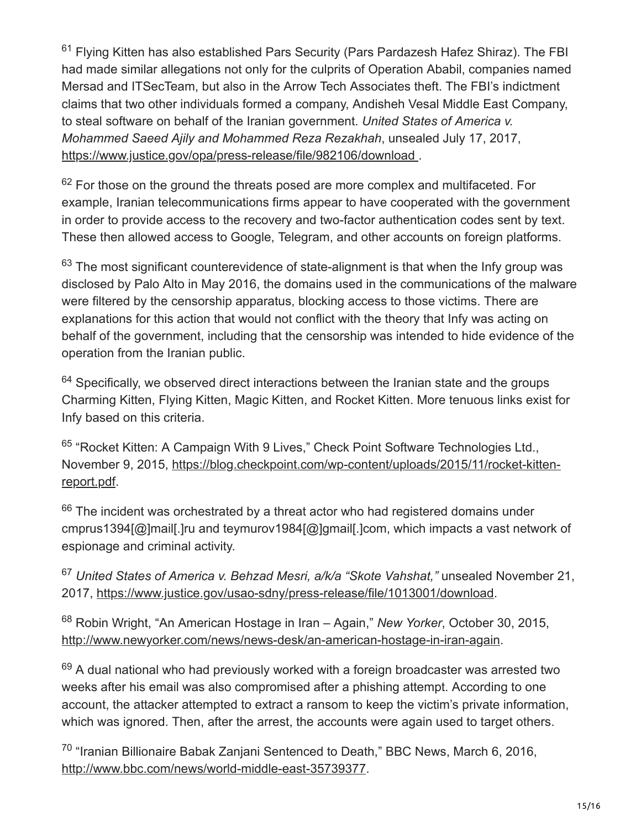<sup>61</sup> Flying Kitten has also established Pars Security (Pars Pardazesh Hafez Shiraz). The FBI had made similar allegations not only for the culprits of Operation Ababil, companies named Mersad and ITSecTeam, but also in the Arrow Tech Associates theft. The FBI's indictment claims that two other individuals formed a company, Andisheh Vesal Middle East Company, to steal software on behalf of the Iranian government. *United States of America v. Mohammed Saeed Ajily and Mohammed Reza Rezakhah*, unsealed July 17, 2017, [https://www.justice.gov/opa/press-release/file/982106/download .](https://www.justice.gov/opa/press-release/file/982106/download)

 $62$  For those on the ground the threats posed are more complex and multifaceted. For example, Iranian telecommunications firms appear to have cooperated with the government in order to provide access to the recovery and two-factor authentication codes sent by text. These then allowed access to Google, Telegram, and other accounts on foreign platforms.

 $63$  The most significant counterevidence of state-alignment is that when the Infy group was disclosed by Palo Alto in May 2016, the domains used in the communications of the malware were filtered by the censorship apparatus, blocking access to those victims. There are explanations for this action that would not conflict with the theory that Infy was acting on behalf of the government, including that the censorship was intended to hide evidence of the operation from the Iranian public.

 $64$  Specifically, we observed direct interactions between the Iranian state and the groups Charming Kitten, Flying Kitten, Magic Kitten, and Rocket Kitten. More tenuous links exist for Infy based on this criteria.

<sup>65</sup> "Rocket Kitten: A Campaign With 9 Lives," Check Point Software Technologies Ltd., [November 9, 2015, https://blog.checkpoint.com/wp-content/uploads/2015/11/rocket-kitten](https://blog.checkpoint.com/wp-content/uploads/2015/11/rocket-kitten-report.pdf)report.pdf.

 $66$  The incident was orchestrated by a threat actor who had registered domains under cmprus1394[@]mail[.]ru and teymurov1984[@]gmail[.]com, which impacts a vast network of espionage and criminal activity.

<sup>67</sup> United States of America v. Behzad Mesri, a/k/a "Skote Vahshat," unsealed November 21, 2017, [https://www.justice.gov/usao-sdny/press-release/file/1013001/download.](https://www.justice.gov/usao-sdny/press-release/file/1013001/download)

<sup>68</sup> Robin Wright, "An American Hostage in Iran - Again," New Yorker, October 30, 2015, [http://www.newyorker.com/news/news-desk/an-american-hostage-in-iran-again.](http://www.newyorker.com/news/news-desk/an-american-hostage-in-iran-again)

 $69$  A dual national who had previously worked with a foreign broadcaster was arrested two weeks after his email was also compromised after a phishing attempt. According to one account, the attacker attempted to extract a ransom to keep the victim's private information, which was ignored. Then, after the arrest, the accounts were again used to target others.

 $70$  "Iranian Billionaire Babak Zanjani Sentenced to Death," BBC News, March 6, 2016, [http://www.bbc.com/news/world-middle-east-35739377.](http://www.bbc.com/news/world-middle-east-35739377)